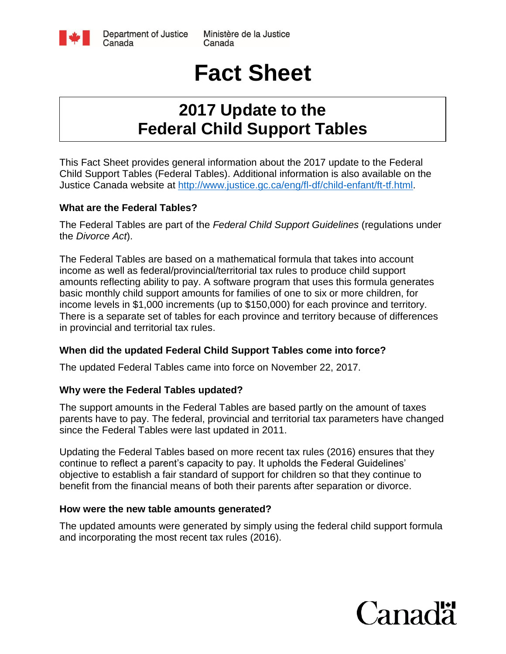

Ministère de la Justice Canada

# **Fact Sheet**

## **2017 Update to the Federal Child Support Tables**

This Fact Sheet provides general information about the 2017 update to the Federal Child Support Tables (Federal Tables). Additional information is also available on the Justice Canada website at [http://www.justice.gc.ca/eng/fl-df/child-enfant/ft-tf.html.](http://www.justice.gc.ca/eng/fl-df/child-enfant/ft-tf.html)

#### **What are the Federal Tables?**

The Federal Tables are part of the *Federal Child Support Guidelines* (regulations under the *Divorce Act*).

The Federal Tables are based on a mathematical formula that takes into account income as well as federal/provincial/territorial tax rules to produce child support amounts reflecting ability to pay. A software program that uses this formula generates basic monthly child support amounts for families of one to six or more children, for income levels in \$1,000 increments (up to \$150,000) for each province and territory. There is a separate set of tables for each province and territory because of differences in provincial and territorial tax rules.

#### **When did the updated Federal Child Support Tables come into force?**

The updated Federal Tables came into force on November 22, 2017.

#### **Why were the Federal Tables updated?**

The support amounts in the Federal Tables are based partly on the amount of taxes parents have to pay. The federal, provincial and territorial tax parameters have changed since the Federal Tables were last updated in 2011.

Updating the Federal Tables based on more recent tax rules (2016) ensures that they continue to reflect a parent's capacity to pay. It upholds the Federal Guidelines' objective to establish a fair standard of support for children so that they continue to benefit from the financial means of both their parents after separation or divorce.

#### **How were the new table amounts generated?**

The updated amounts were generated by simply using the federal child support formula and incorporating the most recent tax rules (2016).

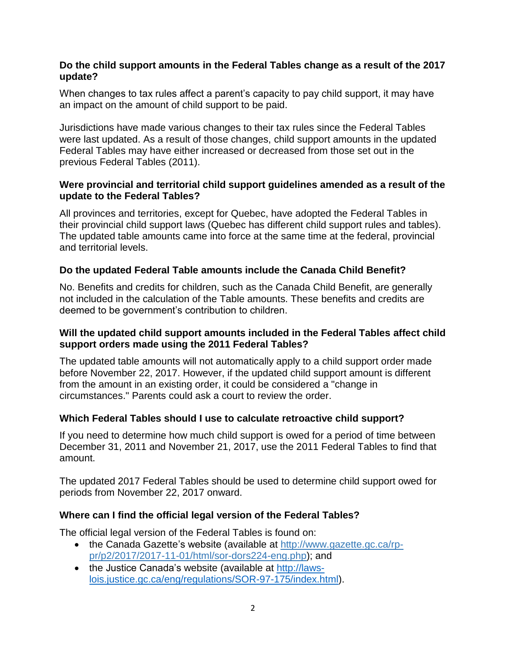#### **Do the child support amounts in the Federal Tables change as a result of the 2017 update?**

When changes to tax rules affect a parent's capacity to pay child support, it may have an impact on the amount of child support to be paid.

Jurisdictions have made various changes to their tax rules since the Federal Tables were last updated. As a result of those changes, child support amounts in the updated Federal Tables may have either increased or decreased from those set out in the previous Federal Tables (2011).

#### **Were provincial and territorial child support guidelines amended as a result of the update to the Federal Tables?**

All provinces and territories, except for Quebec, have adopted the Federal Tables in their provincial child support laws (Quebec has different child support rules and tables). The updated table amounts came into force at the same time at the federal, provincial and territorial levels.

#### **Do the updated Federal Table amounts include the Canada Child Benefit?**

No. Benefits and credits for children, such as the Canada Child Benefit, are generally not included in the calculation of the Table amounts. These benefits and credits are deemed to be government's contribution to children.

#### **Will the updated child support amounts included in the Federal Tables affect child support orders made using the 2011 Federal Tables?**

The updated table amounts will not automatically apply to a child support order made before November 22, 2017. However, if the updated child support amount is different from the amount in an existing order, it could be considered a "change in circumstances." Parents could ask a court to review the order.

#### **Which Federal Tables should I use to calculate retroactive child support?**

If you need to determine how much child support is owed for a period of time between December 31, 2011 and November 21, 2017, use the 2011 Federal Tables to find that amount.

The updated 2017 Federal Tables should be used to determine child support owed for periods from November 22, 2017 onward.

#### **Where can I find the official legal version of the Federal Tables?**

The official legal version of the Federal Tables is found on:

- the Canada Gazette's website (available at [http://www.gazette.gc.ca/rp](http://www.gazette.gc.ca/rp-pr/p2/2017/2017-11-01/html/sor-dors224-eng.php)[pr/p2/2017/2017-11-01/html/sor-dors224-eng.php\)](http://www.gazette.gc.ca/rp-pr/p2/2017/2017-11-01/html/sor-dors224-eng.php); and
- the Justice Canada's website (available at [http://laws](http://laws-lois.justice.gc.ca/eng/regulations/SOR-97-175/index.html)[lois.justice.gc.ca/eng/regulations/SOR-97-175/index.html\)](http://laws-lois.justice.gc.ca/eng/regulations/SOR-97-175/index.html).